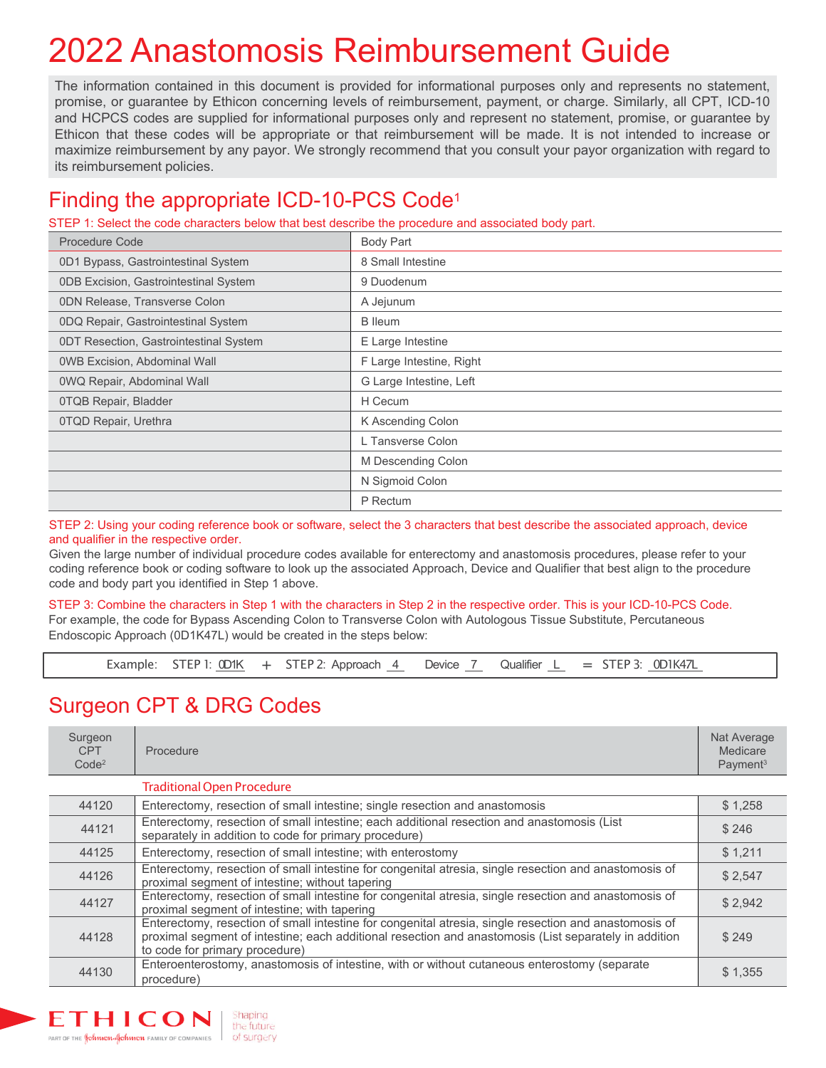# 2022 Anastomosis Reimbursement Guide

The information contained in this document is provided for informational purposes only and represents no statement, promise, or guarantee by Ethicon concerning levels of reimbursement, payment, or charge. Similarly, all CPT, ICD-10 and HCPCS codes are supplied for informational purposes only and represent no statement, promise, or guarantee by Ethicon that these codes will be appropriate or that reimbursement will be made. It is not intended to increase or maximize reimbursement by any payor. We strongly recommend that you consult your payor organization with regard to its reimbursement policies.

## Finding the appropriate ICD-10-PCS Code1

STEP 1: Select the code characters below that best describe the procedure and associated body part.

| <b>Procedure Code</b>                        | <b>Body Part</b>         |
|----------------------------------------------|--------------------------|
| 0D1 Bypass, Gastrointestinal System          | 8 Small Intestine        |
| <b>ODB Excision, Gastrointestinal System</b> | 9 Duodenum               |
| <b>0DN Release, Transverse Colon</b>         | A Jejunum                |
| 0DQ Repair, Gastrointestinal System          | <b>B</b> lleum           |
| 0DT Resection, Gastrointestinal System       | E Large Intestine        |
| <b>OWB Excision, Abdominal Wall</b>          | F Large Intestine, Right |
| 0WQ Repair, Abdominal Wall                   | G Large Intestine, Left  |
| 0TQB Repair, Bladder                         | H Cecum                  |
| 0TQD Repair, Urethra                         | K Ascending Colon        |
|                                              | L Tansverse Colon        |
|                                              | M Descending Colon       |
|                                              | N Sigmoid Colon          |
|                                              | P Rectum                 |

STEP 2: Using your coding reference book or software, select the 3 characters that best describe the associated approach, device and qualifier in the respective order.

Given the large number of individual procedure codes available for enterectomy and anastomosis procedures, please refer to your coding reference book or coding software to look up the associated Approach, Device and Qualifier that best align to the procedure code and body part you identified in Step 1 above.

STEP 3: Combine the characters in Step 1 with the characters in Step 2 in the respective order. This is your ICD-10-PCS Code. For example, the code for Bypass Ascending Colon to Transverse Colon with Autologous Tissue Substitute, Percutaneous Endoscopic Approach (0D1K47L) would be created in the steps below:

Example: STEP 1:  $\frac{OD1K}{4}$  + STEP 2: Approach  $\frac{4}{1}$  Device  $\frac{7}{1}$  Qualifier  $\frac{1}{1}$  = STEP 3:  $\frac{OD1K47L}{1}$ 

### Surgeon CPT & DRG Codes

| Surgeon<br><b>CPT</b><br>Code <sup>2</sup> | Procedure                                                                                                                                                                                                                                        | Nat Average<br>Medicare<br>Payment <sup>3</sup> |
|--------------------------------------------|--------------------------------------------------------------------------------------------------------------------------------------------------------------------------------------------------------------------------------------------------|-------------------------------------------------|
|                                            | <b>Traditional Open Procedure</b>                                                                                                                                                                                                                |                                                 |
| 44120                                      | Enterectomy, resection of small intestine; single resection and anastomosis                                                                                                                                                                      | \$1,258                                         |
| 44121                                      | Enterectomy, resection of small intestine; each additional resection and anastomosis (List<br>separately in addition to code for primary procedure)                                                                                              | \$246                                           |
| 44125                                      | Enterectomy, resection of small intestine; with enterostomy                                                                                                                                                                                      |                                                 |
| 44126                                      | Enterectomy, resection of small intestine for congenital atresia, single resection and anastomosis of<br>proximal segment of intestine; without tapering                                                                                         | \$2,547                                         |
| 44127                                      | Enterectomy, resection of small intestine for congenital atresia, single resection and anastomosis of<br>proximal segment of intestine; with tapering                                                                                            |                                                 |
| 44128                                      | Enterectomy, resection of small intestine for congenital atresia, single resection and anastomosis of<br>proximal segment of intestine; each additional resection and anastomosis (List separately in addition<br>to code for primary procedure) | \$249                                           |
| 44130                                      | Enteroenterostomy, anastomosis of intestine, with or without cutaneous enterostomy (separate<br>procedure)                                                                                                                                       | \$1,355                                         |

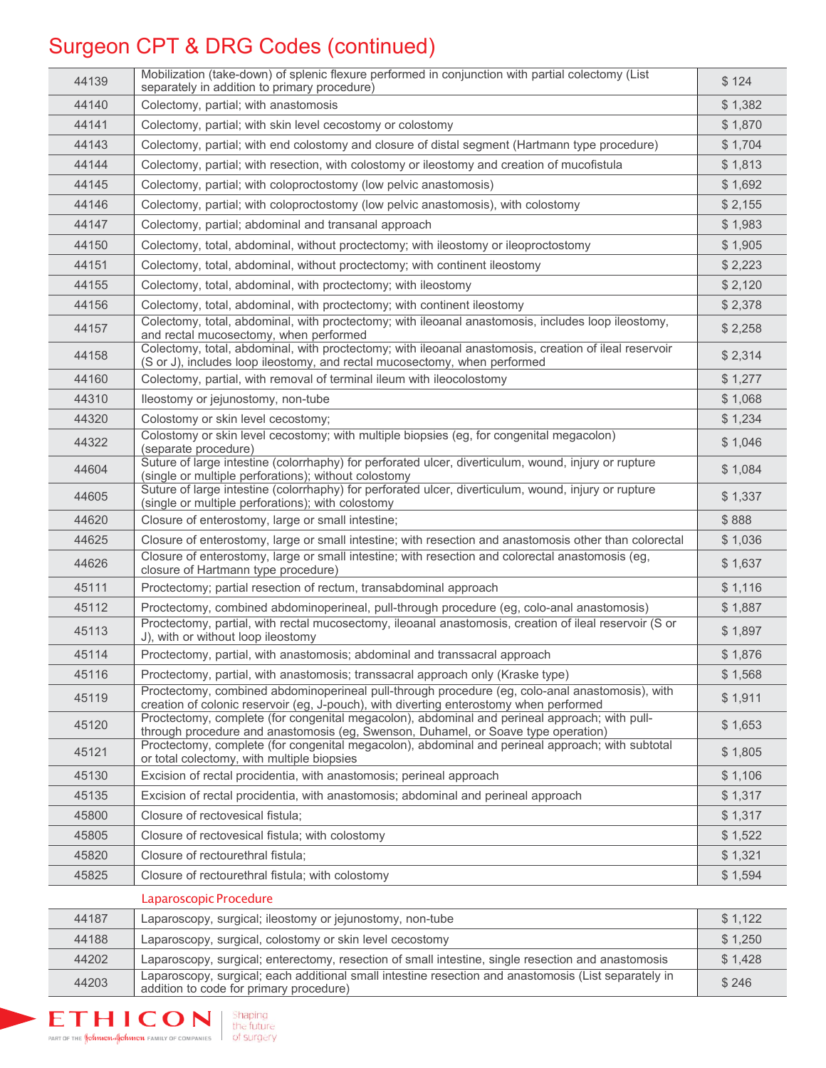## Surgeon CPT & DRG Codes (continued)

| 44139 | Mobilization (take-down) of splenic flexure performed in conjunction with partial colectomy (List<br>separately in addition to primary procedure)                                  |         |
|-------|------------------------------------------------------------------------------------------------------------------------------------------------------------------------------------|---------|
| 44140 | Colectomy, partial; with anastomosis                                                                                                                                               | \$1,382 |
| 44141 | Colectomy, partial; with skin level cecostomy or colostomy                                                                                                                         | \$1,870 |
| 44143 | Colectomy, partial; with end colostomy and closure of distal segment (Hartmann type procedure)                                                                                     |         |
| 44144 | Colectomy, partial; with resection, with colostomy or ileostomy and creation of mucofistula                                                                                        | \$1,813 |
| 44145 | Colectomy, partial; with coloproctostomy (low pelvic anastomosis)                                                                                                                  |         |
| 44146 | Colectomy, partial; with coloproctostomy (low pelvic anastomosis), with colostomy                                                                                                  | \$2,155 |
| 44147 | Colectomy, partial; abdominal and transanal approach                                                                                                                               |         |
| 44150 | Colectomy, total, abdominal, without proctectomy; with ileostomy or ileoproctostomy                                                                                                | \$1,905 |
| 44151 | Colectomy, total, abdominal, without proctectomy; with continent ileostomy                                                                                                         | \$2,223 |
| 44155 | Colectomy, total, abdominal, with proctectomy; with ileostomy                                                                                                                      | \$2,120 |
| 44156 | Colectomy, total, abdominal, with proctectomy; with continent ileostomy                                                                                                            | \$2,378 |
| 44157 | Colectomy, total, abdominal, with proctectomy; with ileoanal anastomosis, includes loop ileostomy,<br>and rectal mucosectomy, when performed                                       | \$2,258 |
| 44158 | Colectomy, total, abdominal, with proctectomy; with ileoanal anastomosis, creation of ileal reservoir<br>(S or J), includes loop ileostomy, and rectal mucosectomy, when performed | \$2,314 |
| 44160 | Colectomy, partial, with removal of terminal ileum with ileocolostomy                                                                                                              | \$1,277 |
| 44310 | lleostomy or jejunostomy, non-tube                                                                                                                                                 | \$1,068 |
| 44320 | Colostomy or skin level cecostomy;                                                                                                                                                 | \$1,234 |
| 44322 | Colostomy or skin level cecostomy; with multiple biopsies (eg, for congenital megacolon)<br>(separate procedure)                                                                   | \$1,046 |
| 44604 | Suture of large intestine (colorrhaphy) for perforated ulcer, diverticulum, wound, injury or rupture<br>(single or multiple perforations); without colostomy                       |         |
| 44605 | Suture of large intestine (colorrhaphy) for perforated ulcer, diverticulum, wound, injury or rupture<br>(single or multiple perforations); with colostomy                          |         |
| 44620 | Closure of enterostomy, large or small intestine;                                                                                                                                  | \$888   |
| 44625 | Closure of enterostomy, large or small intestine; with resection and anastomosis other than colorectal                                                                             | \$1,036 |
| 44626 | Closure of enterostomy, large or small intestine; with resection and colorectal anastomosis (eg,<br>closure of Hartmann type procedure)                                            | \$1,637 |
| 45111 | Proctectomy; partial resection of rectum, transabdominal approach                                                                                                                  | \$1,116 |
| 45112 | Proctectomy, combined abdominoperineal, pull-through procedure (eg, colo-anal anastomosis)                                                                                         | \$1,887 |
| 45113 | Proctectomy, partial, with rectal mucosectomy, ileoanal anastomosis, creation of ileal reservoir (S or<br>J), with or without loop ileostomy                                       | \$1,897 |
| 45114 | Proctectomy, partial, with anastomosis; abdominal and transsacral approach                                                                                                         | \$1,876 |
| 45116 | Proctectomy, partial, with anastomosis; transsacral approach only (Kraske type)<br>Proctectomy, combined abdominoperineal pull-through procedure (eg, colo-anal anastomosis), with | \$1,568 |
| 45119 | creation of colonic reservoir (eg, J-pouch), with diverting enterostomy when performed                                                                                             | \$1,911 |
| 45120 | Proctectomy, complete (for congenital megacolon), abdominal and perineal approach; with pull-<br>through procedure and anastomosis (eg, Swenson, Duhamel, or Soave type operation) | \$1,653 |
| 45121 | Proctectomy, complete (for congenital megacolon), abdominal and perineal approach; with subtotal<br>or total colectomy, with multiple biopsies                                     | \$1,805 |
| 45130 | Excision of rectal procidentia, with anastomosis; perineal approach                                                                                                                | \$1,106 |
| 45135 | Excision of rectal procidentia, with anastomosis; abdominal and perineal approach                                                                                                  | \$1,317 |
| 45800 | Closure of rectovesical fistula;                                                                                                                                                   | \$1,317 |
| 45805 | Closure of rectovesical fistula; with colostomy                                                                                                                                    | \$1,522 |
| 45820 | Closure of rectourethral fistula;                                                                                                                                                  | \$1,321 |
| 45825 | Closure of rectourethral fistula; with colostomy                                                                                                                                   | \$1,594 |
|       | Laparoscopic Procedure                                                                                                                                                             |         |
| 44187 | Laparoscopy, surgical; ileostomy or jejunostomy, non-tube                                                                                                                          | \$1,122 |
| 44188 | Laparoscopy, surgical, colostomy or skin level cecostomy                                                                                                                           | \$1,250 |
| 44202 | Laparoscopy, surgical; enterectomy, resection of small intestine, single resection and anastomosis                                                                                 | \$1,428 |
| 44203 | Laparoscopy, surgical; each additional small intestine resection and anastomosis (List separately in<br>addition to code for primary procedure)                                    | \$246   |